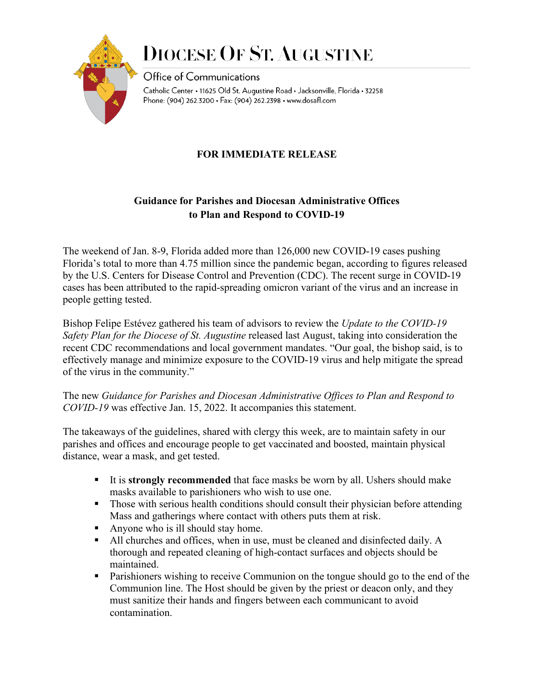

# **DIOCESE OF ST. AUGUSTINE**

Office of Communications Catholic Center • 11625 Old St. Augustine Road • Jacksonville, Florida • 32258 Phone: (904) 262.3200 · Fax: (904) 262.2398 · www.dosafl.com

#### **FOR IMMEDIATE RELEASE**

#### **Guidance for Parishes and Diocesan Administrative Offices to Plan and Respond to COVID-19**

The weekend of Jan. 8-9, Florida added more than 126,000 new COVID-19 cases pushing Florida's total to more than 4.75 million since the pandemic began, according to figures released by the U.S. Centers for Disease Control and Prevention (CDC). The recent surge in COVID-19 cases has been attributed to the rapid-spreading omicron variant of the virus and an increase in people getting tested.

Bishop Felipe Estévez gathered his team of advisors to review the *Update to the COVID-19 Safety Plan for the Diocese of St. Augustine* released last August, taking into consideration the recent CDC recommendations and local government mandates. "Our goal, the bishop said, is to effectively manage and minimize exposure to the COVID-19 virus and help mitigate the spread of the virus in the community."

The new *Guidance for Parishes and Diocesan Administrative Offices to Plan and Respond to COVID-19* was effective Jan. 15, 2022. It accompanies this statement.

The takeaways of the guidelines, shared with clergy this week, are to maintain safety in our parishes and offices and encourage people to get vaccinated and boosted, maintain physical distance, wear a mask, and get tested.

- It is **strongly recommended** that face masks be worn by all. Ushers should make masks available to parishioners who wish to use one.
- Those with serious health conditions should consult their physician before attending Mass and gatherings where contact with others puts them at risk.
- Anyone who is ill should stay home.
- All churches and offices, when in use, must be cleaned and disinfected daily. A thorough and repeated cleaning of high-contact surfaces and objects should be maintained.
- Parishioners wishing to receive Communion on the tongue should go to the end of the Communion line. The Host should be given by the priest or deacon only, and they must sanitize their hands and fingers between each communicant to avoid contamination.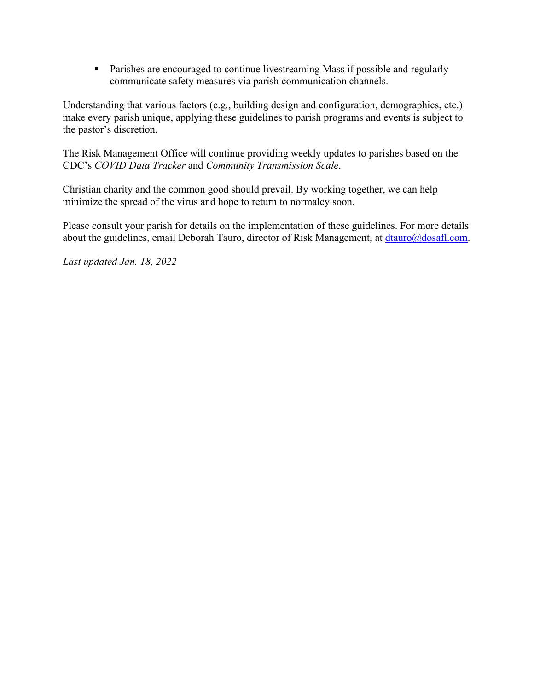**Parishes are encouraged to continue livestreaming Mass if possible and regularly** communicate safety measures via parish communication channels.

Understanding that various factors (e.g., building design and configuration, demographics, etc.) make every parish unique, applying these guidelines to parish programs and events is subject to the pastor's discretion.

The Risk Management Office will continue providing weekly updates to parishes based on the CDC's *COVID Data Tracker* and *Community Transmission Scale*.

Christian charity and the common good should prevail. By working together, we can help minimize the spread of the virus and hope to return to normalcy soon.

Please consult your parish for details on the implementation of these guidelines. For more details about the guidelines, email Deborah Tauro, director of Risk Management, at [dtauro@dosafl.com.](mailto:dtauro@dosafl.com)

*Last updated Jan. 18, 2022*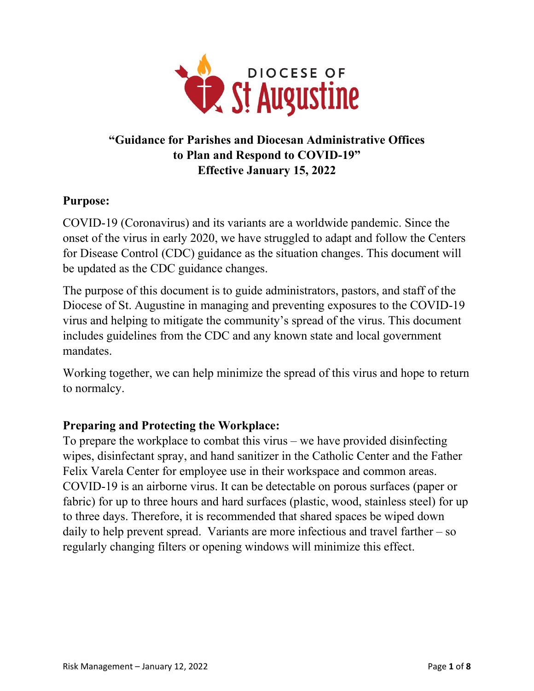

# **"Guidance for Parishes and Diocesan Administrative Offices to Plan and Respond to COVID-19" Effective January 15, 2022**

## **Purpose:**

COVID-19 (Coronavirus) and its variants are a worldwide pandemic. Since the onset of the virus in early 2020, we have struggled to adapt and follow the Centers for Disease Control (CDC) guidance as the situation changes. This document will be updated as the CDC guidance changes.

The purpose of this document is to guide administrators, pastors, and staff of the Diocese of St. Augustine in managing and preventing exposures to the COVID-19 virus and helping to mitigate the community's spread of the virus. This document includes guidelines from the CDC and any known state and local government mandates.

Working together, we can help minimize the spread of this virus and hope to return to normalcy.

#### **Preparing and Protecting the Workplace:**

To prepare the workplace to combat this virus – we have provided disinfecting wipes, disinfectant spray, and hand sanitizer in the Catholic Center and the Father Felix Varela Center for employee use in their workspace and common areas. COVID-19 is an airborne virus. It can be detectable on porous surfaces (paper or fabric) for up to three hours and hard surfaces (plastic, wood, stainless steel) for up to three days. Therefore, it is recommended that shared spaces be wiped down daily to help prevent spread. Variants are more infectious and travel farther – so regularly changing filters or opening windows will minimize this effect.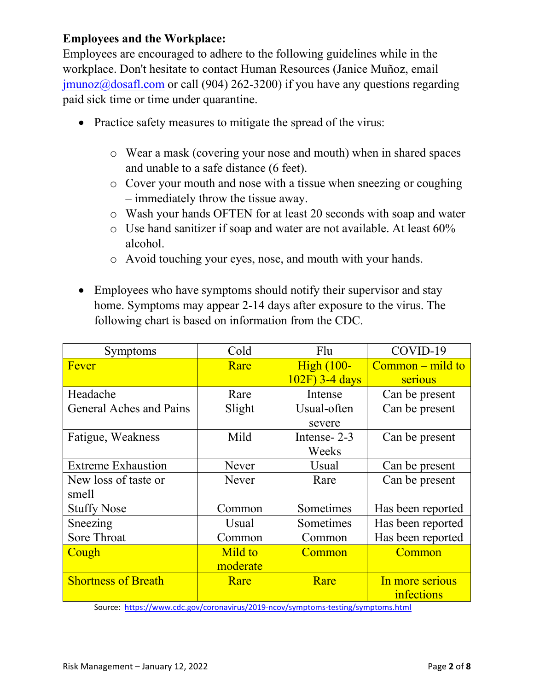### **Employees and the Workplace:**

Employees are encouraged to adhere to the following guidelines while in the workplace. Don't hesitate to contact Human Resources (Janice Muñoz, email  $jmmoz@dosafl.com$  or call (904) 262-3200) if you have any questions regarding paid sick time or time under quarantine.

- Practice safety measures to mitigate the spread of the virus:
	- o Wear a mask (covering your nose and mouth) when in shared spaces and unable to a safe distance (6 feet).
	- o Cover your mouth and nose with a tissue when sneezing or coughing – immediately throw the tissue away.
	- o Wash your hands OFTEN for at least 20 seconds with soap and water
	- o Use hand sanitizer if soap and water are not available. At least 60% alcohol.
	- o Avoid touching your eyes, nose, and mouth with your hands.
- Employees who have symptoms should notify their supervisor and stay home. Symptoms may appear 2-14 days after exposure to the virus. The following chart is based on information from the CDC.

| Symptoms                   | Cold     | Flu               | COVID-19           |
|----------------------------|----------|-------------------|--------------------|
| Fever                      | Rare     | <b>High (100-</b> | $Common - mild$ to |
|                            |          | 102F) 3-4 days    | serious            |
| Headache                   | Rare     | Intense           | Can be present     |
| General Aches and Pains    | Slight   | Usual-often       | Can be present     |
|                            |          | severe            |                    |
| Fatigue, Weakness          | Mild     | Intense-2-3       | Can be present     |
|                            |          | Weeks             |                    |
| <b>Extreme Exhaustion</b>  | Never    | Usual             | Can be present     |
| New loss of taste or       | Never    | Rare              | Can be present     |
| smell                      |          |                   |                    |
| <b>Stuffy Nose</b>         | Common   | Sometimes         | Has been reported  |
| Sneezing                   | Usual    | Sometimes         | Has been reported  |
| <b>Sore Throat</b>         | Common   | Common            | Has been reported  |
| Cough                      | Mild to  | Common            | Common             |
|                            | moderate |                   |                    |
| <b>Shortness of Breath</b> | Rare     | Rare              | In more serious    |
|                            |          |                   | infections         |

Source: <https://www.cdc.gov/coronavirus/2019-ncov/symptoms-testing/symptoms.html>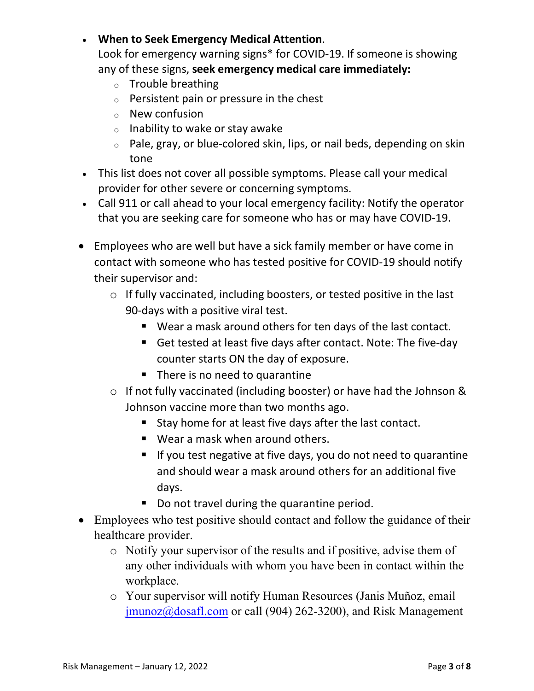• **When to Seek Emergency Medical Attention**.

Look for emergency warning signs\* for COVID-19. If someone is showing any of these signs, **seek emergency medical care immediately:**

- $\circ$  Trouble breathing
- <sup>o</sup> Persistent pain or pressure in the chest
- <sup>o</sup> New confusion
- $\circ$  Inability to wake or stay awake
- <sup>o</sup> Pale, gray, or blue-colored skin, lips, or nail beds, depending on skin tone
- This list does not cover all possible symptoms. Please call your medical provider for other severe or concerning symptoms.
- Call 911 or call ahead to your local emergency facility: Notify the operator that you are seeking care for someone who has or may have COVID-19.
- Employees who are well but have a sick family member or have come in contact with someone who has tested positive for COVID-19 should notify their supervisor and:
	- o If fully vaccinated, including boosters, or tested positive in the last 90-days with a positive viral test.
		- Wear a mask around others for ten days of the last contact.
		- Get tested at least five days after contact. Note: The five-day counter starts ON the day of exposure.
		- There is no need to quarantine
	- o If not fully vaccinated (including booster) or have had the Johnson & Johnson vaccine more than two months ago.
		- Stay home for at least five days after the last contact.
		- Wear a mask when around others.
		- If you test negative at five days, you do not need to quarantine and should wear a mask around others for an additional five days.
		- Do not travel during the quarantine period.
- Employees who test positive should contact and follow the guidance of their healthcare provider.
	- o Notify your supervisor of the results and if positive, advise them of any other individuals with whom you have been in contact within the workplace.
	- o Your supervisor will notify Human Resources (Janis Muñoz, email [jmunoz@dosafl.com](mailto:jmunoz@dosafl.com) or call (904) 262-3200), and Risk Management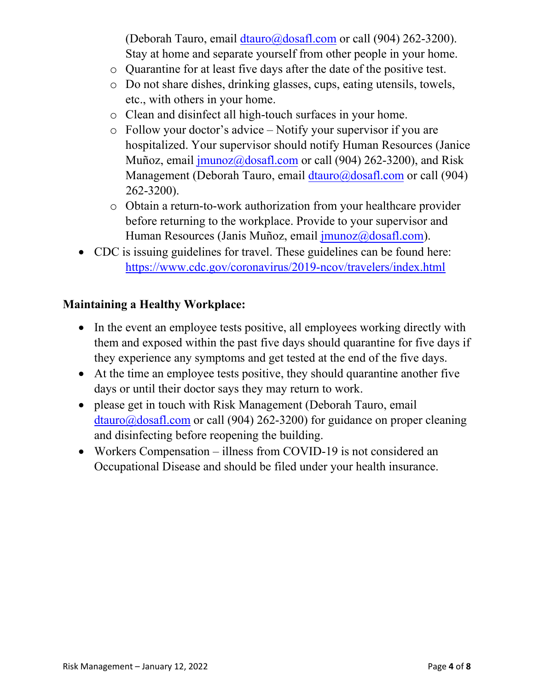(Deborah Tauro, email [dtauro@dosafl.com](mailto:dtauro@dosafl.com) or call (904) 262-3200). Stay at home and separate yourself from other people in your home.

- o Quarantine for at least five days after the date of the positive test.
- o Do not share dishes, drinking glasses, cups, eating utensils, towels, etc., with others in your home.
- o Clean and disinfect all high-touch surfaces in your home.
- o Follow your doctor's advice Notify your supervisor if you are hospitalized. Your supervisor should notify Human Resources (Janice Muñoz, emai[l jmunoz@dosafl.com](mailto:jmunoz@dosafl.com) or call (904) 262-3200), and Risk Management (Deborah Tauro, emai[l dtauro@dosafl.com](mailto:dtauro@dosafl.com) or call (904) 262-3200).
- o Obtain a return-to-work authorization from your healthcare provider before returning to the workplace. Provide to your supervisor and Human Resources (Janis Muñoz, emai[l jmunoz@dosafl.com\).](mailto:jmunoz@dosafl.com)
- CDC is issuing guidelines for travel. These guidelines can be found here: <https://www.cdc.gov/coronavirus/2019-ncov/travelers/index.html>

### **Maintaining a Healthy Workplace:**

- In the event an employee tests positive, all employees working directly with them and exposed within the past five days should quarantine for five days if they experience any symptoms and get tested at the end of the five days.
- At the time an employee tests positive, they should quarantine another five days or until their doctor says they may return to work.
- please get in touch with Risk Management (Deborah Tauro, email  $dtauro@dosafl.com$  or call (904) 262-3200) for guidance on proper cleaning and disinfecting before reopening the building.
- Workers Compensation illness from COVID-19 is not considered an Occupational Disease and should be filed under your health insurance.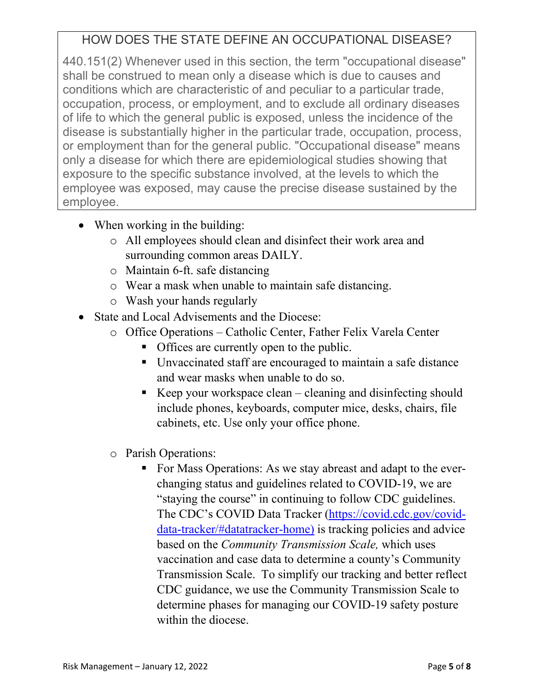# HOW DOES THE STATE DEFINE AN OCCUPATIONAL DISEASE?

440.151(2) Whenever used in this section, the term "occupational disease" shall be construed to mean only a disease which is due to causes and conditions which are characteristic of and peculiar to a particular trade, occupation, process, or employment, and to exclude all ordinary diseases of life to which the general public is exposed, unless the incidence of the disease is substantially higher in the particular trade, occupation, process, or employment than for the general public. "Occupational disease" means only a disease for which there are epidemiological studies showing that exposure to the specific substance involved, at the levels to which the employee was exposed, may cause the precise disease sustained by the employee.

- When working in the building:
	- o All employees should clean and disinfect their work area and surrounding common areas DAILY.
	- o Maintain 6-ft. safe distancing
	- o Wear a mask when unable to maintain safe distancing.
	- o Wash your hands regularly
- State and Local Advisements and the Diocese:
	- o Office Operations Catholic Center, Father Felix Varela Center
		- Offices are currently open to the public.
		- Unvaccinated staff are encouraged to maintain a safe distance and wear masks when unable to do so.
		- Exercise Neep your workspace clean  $-\frac{1}{2}$  cleaning and disinfecting should include phones, keyboards, computer mice, desks, chairs, file cabinets, etc. Use only your office phone.
	- o Parish Operations:
		- For Mass Operations: As we stay abreast and adapt to the everchanging status and guidelines related to COVID-19, we are "staying the course" in continuing to follow CDC guidelines. The CDC's COVID Data Tracker [\(https://covid.cdc.gov/covid](https://covid.cdc.gov/covid-data-tracker/#datatracker-home)[data-tracker/#datatracker-home\)](https://covid.cdc.gov/covid-data-tracker/#datatracker-home) is tracking policies and advice based on the *Community Transmission Scale,* which uses vaccination and case data to determine a county's Community Transmission Scale. To simplify our tracking and better reflect CDC guidance, we use the Community Transmission Scale to determine phases for managing our COVID-19 safety posture within the diocese.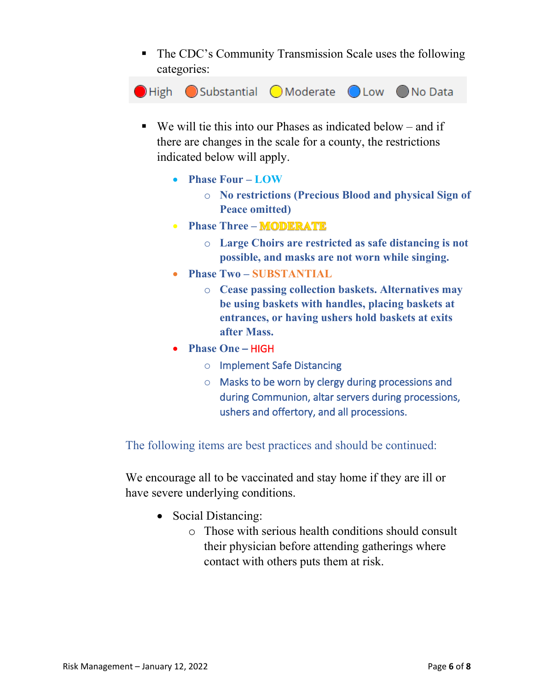The CDC's Community Transmission Scale uses the following categories:



- $\blacksquare$  We will tie this into our Phases as indicated below and if there are changes in the scale for a county, the restrictions indicated below will apply.
	- **Phase Four – LOW**
		- o **No restrictions (Precious Blood and physical Sign of Peace omitted)**
	- **Phase Three MODERATE** 
		- o **Large Choirs are restricted as safe distancing is not possible, and masks are not worn while singing.**
	- **Phase Two – SUBSTANTIAL**
		- o **Cease passing collection baskets. Alternatives may be using baskets with handles, placing baskets at entrances, or having ushers hold baskets at exits after Mass.**
	- **Phase One** HIGH
		- o Implement Safe Distancing
		- o Masks to be worn by clergy during processions and during Communion, altar servers during processions, ushers and offertory, and all processions.

The following items are best practices and should be continued:

We encourage all to be vaccinated and stay home if they are ill or have severe underlying conditions.

- Social Distancing:
	- o Those with serious health conditions should consult their physician before attending gatherings where contact with others puts them at risk.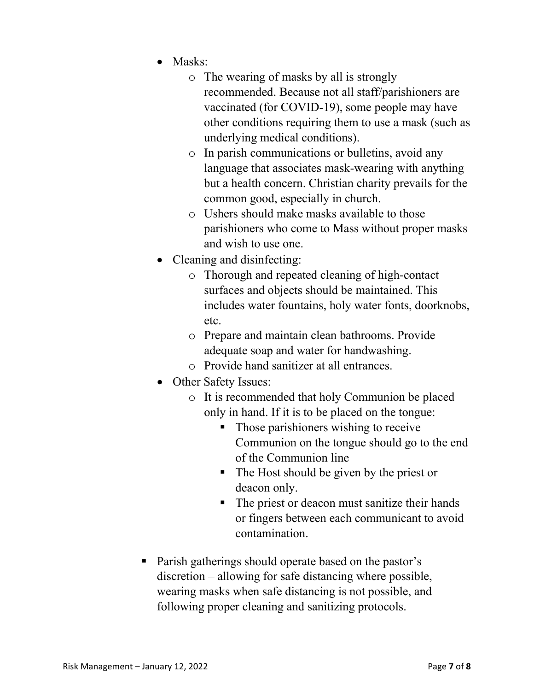- Masks:
	- o The wearing of masks by all is strongly recommended. Because not all staff/parishioners are vaccinated (for COVID-19), some people may have other conditions requiring them to use a mask (such as underlying medical conditions).
	- o In parish communications or bulletins, avoid any language that associates mask-wearing with anything but a health concern. Christian charity prevails for the common good, especially in church.
	- o Ushers should make masks available to those parishioners who come to Mass without proper masks and wish to use one.
- Cleaning and disinfecting:
	- o Thorough and repeated cleaning of high-contact surfaces and objects should be maintained. This includes water fountains, holy water fonts, doorknobs, etc.
	- o Prepare and maintain clean bathrooms. Provide adequate soap and water for handwashing.
	- o Provide hand sanitizer at all entrances.
- Other Safety Issues:
	- o It is recommended that holy Communion be placed only in hand. If it is to be placed on the tongue:
		- Those parishioners wishing to receive Communion on the tongue should go to the end of the Communion line
		- The Host should be given by the priest or deacon only.
		- The priest or deacon must sanitize their hands or fingers between each communicant to avoid contamination.
- Parish gatherings should operate based on the pastor's discretion – allowing for safe distancing where possible, wearing masks when safe distancing is not possible, and following proper cleaning and sanitizing protocols.